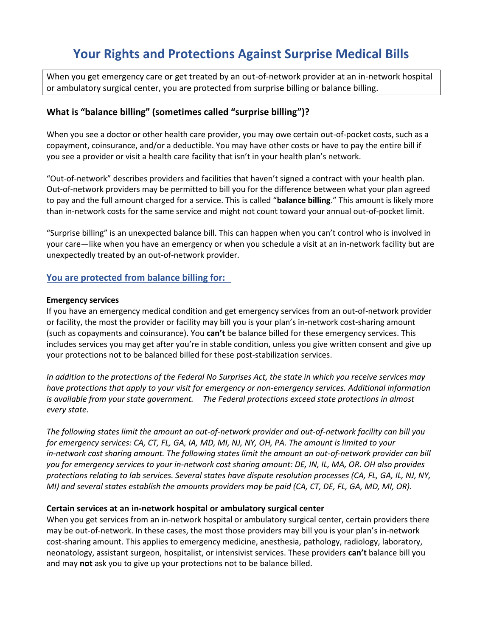# **Your Rights and Protections Against Surprise Medical Bills**

When you get emergency care or get treated by an out-of-network provider at an in-network hospital or ambulatory surgical center, you are protected from surprise billing or balance billing.

### **What is "balance billing" (sometimes called "surprise billing")?**

When you see a doctor or other health care provider, you may owe certain out-of-pocket costs, such as a copayment, coinsurance, and/or a deductible. You may have other costs or have to pay the entire bill if you see a provider or visit a health care facility that isn't in your health plan's network.

"Out-of-network" describes providers and facilities that haven't signed a contract with your health plan. Out-of-network providers may be permitted to bill you for the difference between what your plan agreed to pay and the full amount charged for a service. This is called "**balance billing**." This amount is likely more than in-network costs for the same service and might not count toward your annual out-of-pocket limit.

"Surprise billing" is an unexpected balance bill. This can happen when you can't control who is involved in your care—like when you have an emergency or when you schedule a visit at an in-network facility but are unexpectedly treated by an out-of-network provider.

### **You are protected from balance billing for:**

#### **Emergency services**

If you have an emergency medical condition and get emergency services from an out-of-network provider or facility, the most the provider or facility may bill you is your plan's in-network cost-sharing amount (such as copayments and coinsurance). You **can't** be balance billed for these emergency services. This includes services you may get after you're in stable condition, unless you give written consent and give up your protections not to be balanced billed for these post-stabilization services.

*In addition to the protections of the Federal No Surprises Act, the state in which you receive services may have protections that apply to your visit for emergency or non-emergency services. Additional information is available from your state government. The Federal protections exceed state protections in almost every state.*

*The following states limit the amount an out-of-network provider and out-of-network facility can bill you for emergency services: CA, CT, FL, GA, IA, MD, MI, NJ, NY, OH, PA. The amount is limited to your in-network cost sharing amount. The following states limit the amount an out-of-network provider can bill you for emergency services to your in-network cost sharing amount: DE, IN, IL, MA, OR. OH also provides protections relating to lab services. Several states have dispute resolution processes (CA, FL, GA, IL, NJ, NY, MI) and several states establish the amounts providers may be paid (CA, CT, DE, FL, GA, MD, MI, OR).*

#### **Certain services at an in-network hospital or ambulatory surgical center**

When you get services from an in-network hospital or ambulatory surgical center, certain providers there may be out-of-network. In these cases, the most those providers may bill you is your plan's in-network cost-sharing amount. This applies to emergency medicine, anesthesia, pathology, radiology, laboratory, neonatology, assistant surgeon, hospitalist, or intensivist services. These providers **can't** balance bill you and may **not** ask you to give up your protections not to be balance billed.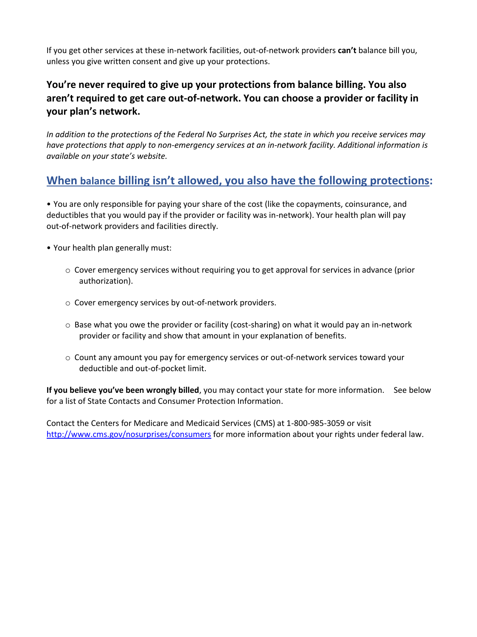If you get other services at these in-network facilities, out-of-network providers **can't** balance bill you, unless you give written consent and give up your protections.

## **You're never required to give up your protections from balance billing. You also aren't required to get care out-of-network. You can choose a provider or facility in your plan's network.**

*In addition to the protections of the Federal No Surprises Act, the state in which you receive services may have protections that apply to non-emergency services at an in-network facility. Additional information is available on your state's website.* 

# **When balance billing isn't allowed, you also have the following protections:**

• You are only responsible for paying your share of the cost (like the copayments, coinsurance, and deductibles that you would pay if the provider or facility was in-network). Your health plan will pay out-of-network providers and facilities directly.

- Your health plan generally must:
	- o Cover emergency services without requiring you to get approval for services in advance (prior authorization).
	- o Cover emergency services by out-of-network providers.
	- $\circ$  Base what you owe the provider or facility (cost-sharing) on what it would pay an in-network provider or facility and show that amount in your explanation of benefits.
	- o Count any amount you pay for emergency services or out-of-network services toward your deductible and out-of-pocket limit.

**If you believe you've been wrongly billed**, you may contact your state for more information. See below for a list of State Contacts and Consumer Protection Information.

Contact the Centers for Medicare and Medicaid Services (CMS) at 1-800-985-3059 or visit http://www.cms.gov/nosurprises/consumers for more information about your rights under federal law.